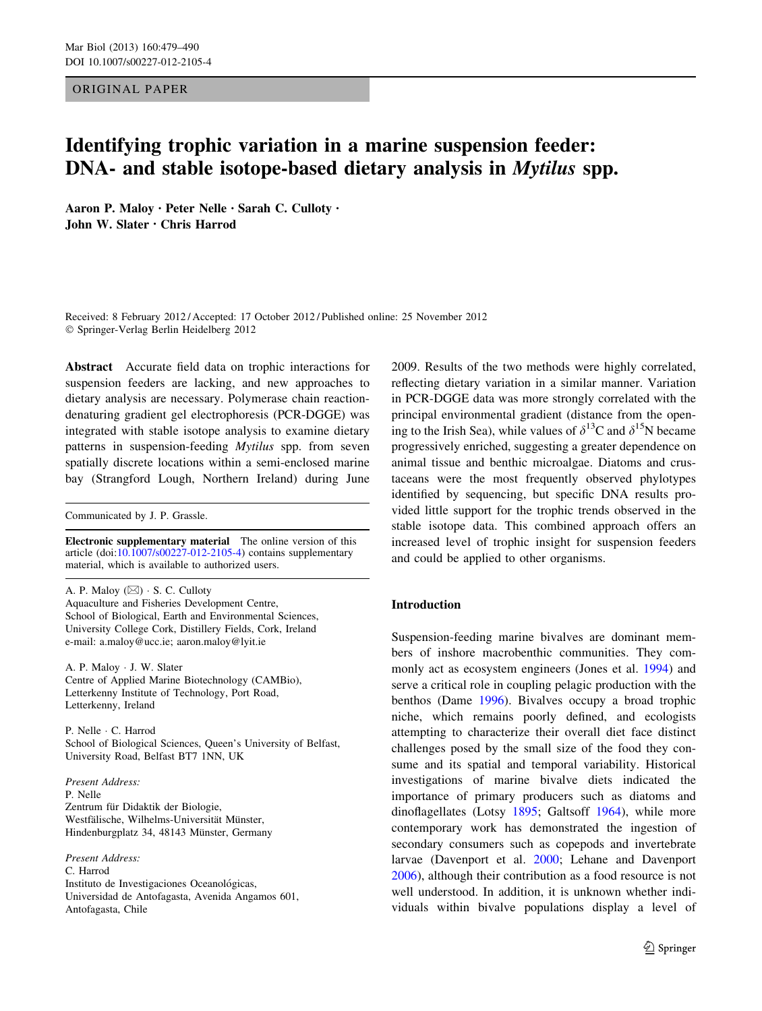ORIGINAL PAPER

# Identifying trophic variation in a marine suspension feeder: DNA- and stable isotope-based dietary analysis in Mytilus spp.

Aaron P. Maloy • Peter Nelle • Sarah C. Culloty • John W. Slater • Chris Harrod

Received: 8 February 2012 / Accepted: 17 October 2012 / Published online: 25 November 2012 - Springer-Verlag Berlin Heidelberg 2012

Abstract Accurate field data on trophic interactions for suspension feeders are lacking, and new approaches to dietary analysis are necessary. Polymerase chain reactiondenaturing gradient gel electrophoresis (PCR-DGGE) was integrated with stable isotope analysis to examine dietary patterns in suspension-feeding Mytilus spp. from seven spatially discrete locations within a semi-enclosed marine bay (Strangford Lough, Northern Ireland) during June

Communicated by J. P. Grassle.

Electronic supplementary material The online version of this article (doi:[10.1007/s00227-012-2105-4\)](http://dx.doi.org/10.1007/s00227-012-2105-4) contains supplementary material, which is available to authorized users.

A. P. Maloy  $(\boxtimes) \cdot S$ . C. Culloty Aquaculture and Fisheries Development Centre, School of Biological, Earth and Environmental Sciences, University College Cork, Distillery Fields, Cork, Ireland e-mail: a.maloy@ucc.ie; aaron.maloy@lyit.ie

A. P. Maloy - J. W. Slater Centre of Applied Marine Biotechnology (CAMBio), Letterkenny Institute of Technology, Port Road, Letterkenny, Ireland

P. Nelle - C. Harrod School of Biological Sciences, Queen's University of Belfast, University Road, Belfast BT7 1NN, UK

Present Address: P. Nelle Zentrum für Didaktik der Biologie, Westfälische, Wilhelms-Universität Münster, Hindenburgplatz 34, 48143 Münster, Germany

Present Address: C. Harrod Instituto de Investigaciones Oceanológicas, Universidad de Antofagasta, Avenida Angamos 601, Antofagasta, Chile

2009. Results of the two methods were highly correlated, reflecting dietary variation in a similar manner. Variation in PCR-DGGE data was more strongly correlated with the principal environmental gradient (distance from the opening to the Irish Sea), while values of  $\delta^{13}$ C and  $\delta^{15}$ N became progressively enriched, suggesting a greater dependence on animal tissue and benthic microalgae. Diatoms and crustaceans were the most frequently observed phylotypes identified by sequencing, but specific DNA results provided little support for the trophic trends observed in the stable isotope data. This combined approach offers an increased level of trophic insight for suspension feeders and could be applied to other organisms.

# Introduction

Suspension-feeding marine bivalves are dominant members of inshore macrobenthic communities. They commonly act as ecosystem engineers (Jones et al. [1994\)](#page-10-0) and serve a critical role in coupling pelagic production with the benthos (Dame [1996](#page-10-0)). Bivalves occupy a broad trophic niche, which remains poorly defined, and ecologists attempting to characterize their overall diet face distinct challenges posed by the small size of the food they consume and its spatial and temporal variability. Historical investigations of marine bivalve diets indicated the importance of primary producers such as diatoms and dinoflagellates (Lotsy [1895](#page-10-0); Galtsoff [1964\)](#page-10-0), while more contemporary work has demonstrated the ingestion of secondary consumers such as copepods and invertebrate larvae (Davenport et al. [2000](#page-10-0); Lehane and Davenport [2006](#page-10-0)), although their contribution as a food resource is not well understood. In addition, it is unknown whether individuals within bivalve populations display a level of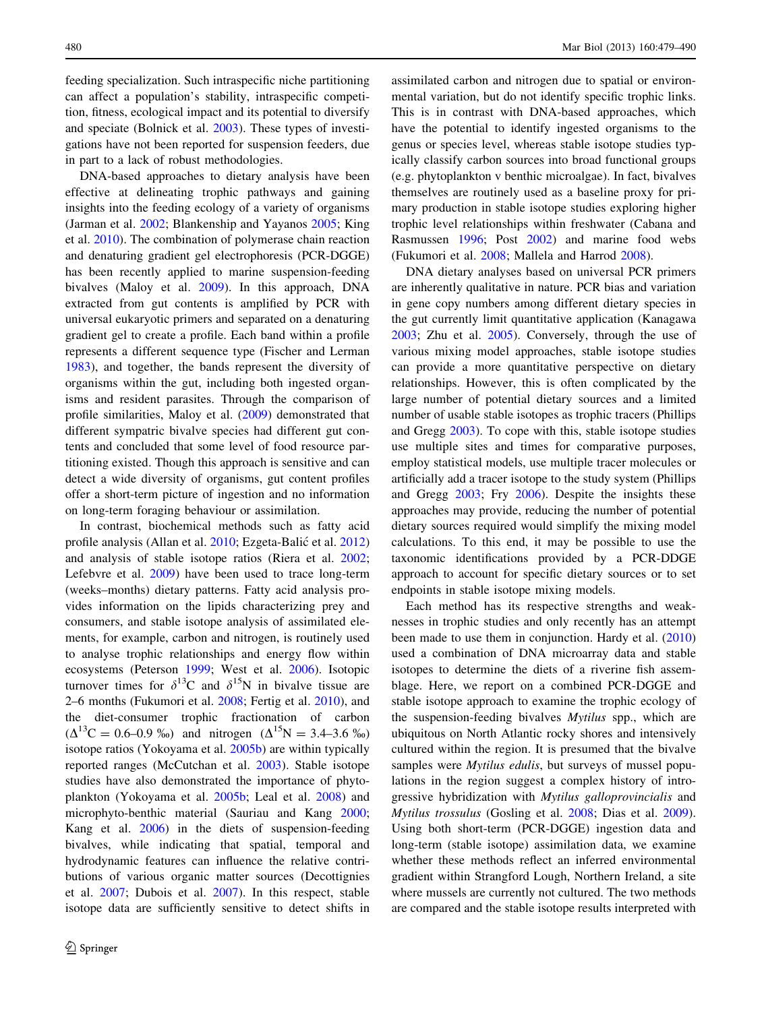feeding specialization. Such intraspecific niche partitioning can affect a population's stability, intraspecific competition, fitness, ecological impact and its potential to diversify and speciate (Bolnick et al. [2003\)](#page-10-0). These types of investigations have not been reported for suspension feeders, due in part to a lack of robust methodologies.

DNA-based approaches to dietary analysis have been effective at delineating trophic pathways and gaining insights into the feeding ecology of a variety of organisms (Jarman et al. [2002](#page-10-0); Blankenship and Yayanos [2005](#page-10-0); King et al. [2010](#page-10-0)). The combination of polymerase chain reaction and denaturing gradient gel electrophoresis (PCR-DGGE) has been recently applied to marine suspension-feeding bivalves (Maloy et al. [2009](#page-10-0)). In this approach, DNA extracted from gut contents is amplified by PCR with universal eukaryotic primers and separated on a denaturing gradient gel to create a profile. Each band within a profile represents a different sequence type (Fischer and Lerman [1983\)](#page-10-0), and together, the bands represent the diversity of organisms within the gut, including both ingested organisms and resident parasites. Through the comparison of profile similarities, Maloy et al. [\(2009](#page-10-0)) demonstrated that different sympatric bivalve species had different gut contents and concluded that some level of food resource partitioning existed. Though this approach is sensitive and can detect a wide diversity of organisms, gut content profiles offer a short-term picture of ingestion and no information on long-term foraging behaviour or assimilation.

In contrast, biochemical methods such as fatty acid profile analysis (Allan et al. [2010](#page-9-0); Ezgeta-Balić et al. [2012\)](#page-10-0) and analysis of stable isotope ratios (Riera et al. [2002](#page-11-0); Lefebvre et al. [2009](#page-10-0)) have been used to trace long-term (weeks–months) dietary patterns. Fatty acid analysis provides information on the lipids characterizing prey and consumers, and stable isotope analysis of assimilated elements, for example, carbon and nitrogen, is routinely used to analyse trophic relationships and energy flow within ecosystems (Peterson [1999;](#page-10-0) West et al. [2006\)](#page-11-0). Isotopic turnover times for  $\delta^{13}$ C and  $\delta^{15}$ N in bivalve tissue are 2–6 months (Fukumori et al. [2008](#page-10-0); Fertig et al. [2010\)](#page-10-0), and the diet-consumer trophic fractionation of carbon  $(\Delta^{13}C = 0.6{\text{-}}0.9\%)$  and nitrogen  $(\Delta^{15}N = 3.4{\text{-}}3.6\%)$ isotope ratios (Yokoyama et al. [2005b\)](#page-11-0) are within typically reported ranges (McCutchan et al. [2003](#page-10-0)). Stable isotope studies have also demonstrated the importance of phytoplankton (Yokoyama et al. [2005b](#page-11-0); Leal et al. [2008](#page-10-0)) and microphyto-benthic material (Sauriau and Kang [2000](#page-11-0); Kang et al. [2006](#page-10-0)) in the diets of suspension-feeding bivalves, while indicating that spatial, temporal and hydrodynamic features can influence the relative contributions of various organic matter sources (Decottignies et al. [2007;](#page-10-0) Dubois et al. [2007](#page-10-0)). In this respect, stable isotope data are sufficiently sensitive to detect shifts in

assimilated carbon and nitrogen due to spatial or environmental variation, but do not identify specific trophic links. This is in contrast with DNA-based approaches, which have the potential to identify ingested organisms to the genus or species level, whereas stable isotope studies typically classify carbon sources into broad functional groups (e.g. phytoplankton v benthic microalgae). In fact, bivalves themselves are routinely used as a baseline proxy for primary production in stable isotope studies exploring higher trophic level relationships within freshwater (Cabana and Rasmussen [1996](#page-10-0); Post [2002\)](#page-11-0) and marine food webs (Fukumori et al. [2008;](#page-10-0) Mallela and Harrod [2008](#page-10-0)).

DNA dietary analyses based on universal PCR primers are inherently qualitative in nature. PCR bias and variation in gene copy numbers among different dietary species in the gut currently limit quantitative application (Kanagawa [2003](#page-10-0); Zhu et al. [2005](#page-11-0)). Conversely, through the use of various mixing model approaches, stable isotope studies can provide a more quantitative perspective on dietary relationships. However, this is often complicated by the large number of potential dietary sources and a limited number of usable stable isotopes as trophic tracers (Phillips and Gregg [2003\)](#page-10-0). To cope with this, stable isotope studies use multiple sites and times for comparative purposes, employ statistical models, use multiple tracer molecules or artificially add a tracer isotope to the study system (Phillips and Gregg [2003;](#page-10-0) Fry [2006\)](#page-10-0). Despite the insights these approaches may provide, reducing the number of potential dietary sources required would simplify the mixing model calculations. To this end, it may be possible to use the taxonomic identifications provided by a PCR-DDGE approach to account for specific dietary sources or to set endpoints in stable isotope mixing models.

Each method has its respective strengths and weaknesses in trophic studies and only recently has an attempt been made to use them in conjunction. Hardy et al. ([2010\)](#page-10-0) used a combination of DNA microarray data and stable isotopes to determine the diets of a riverine fish assemblage. Here, we report on a combined PCR-DGGE and stable isotope approach to examine the trophic ecology of the suspension-feeding bivalves Mytilus spp., which are ubiquitous on North Atlantic rocky shores and intensively cultured within the region. It is presumed that the bivalve samples were *Mytilus edulis*, but surveys of mussel populations in the region suggest a complex history of introgressive hybridization with Mytilus galloprovincialis and Mytilus trossulus (Gosling et al. [2008](#page-10-0); Dias et al. [2009](#page-10-0)). Using both short-term (PCR-DGGE) ingestion data and long-term (stable isotope) assimilation data, we examine whether these methods reflect an inferred environmental gradient within Strangford Lough, Northern Ireland, a site where mussels are currently not cultured. The two methods are compared and the stable isotope results interpreted with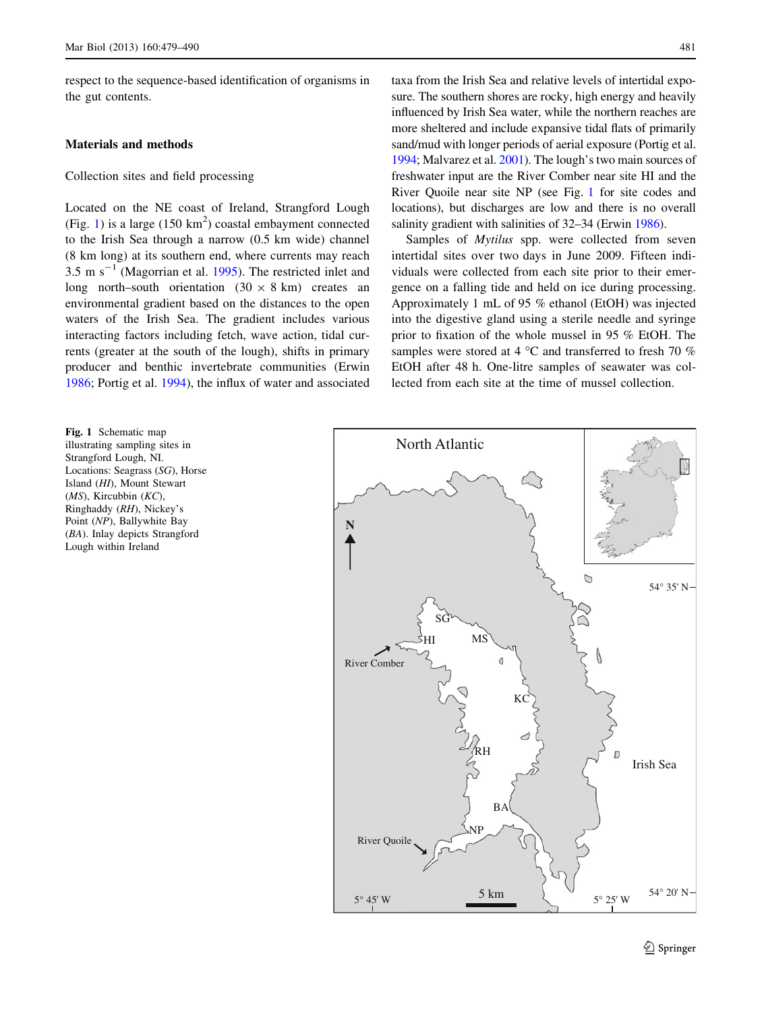<span id="page-2-0"></span>respect to the sequence-based identification of organisms in the gut contents.

## Materials and methods

## Collection sites and field processing

Located on the NE coast of Ireland, Strangford Lough (Fig. 1) is a large  $(150 \text{ km}^2)$  coastal embayment connected to the Irish Sea through a narrow (0.5 km wide) channel (8 km long) at its southern end, where currents may reach  $3.5 \text{ m s}^{-1}$  (Magorrian et al. [1995\)](#page-10-0). The restricted inlet and long north–south orientation  $(30 \times 8 \text{ km})$  creates an environmental gradient based on the distances to the open waters of the Irish Sea. The gradient includes various interacting factors including fetch, wave action, tidal currents (greater at the south of the lough), shifts in primary producer and benthic invertebrate communities (Erwin [1986;](#page-10-0) Portig et al. [1994\)](#page-10-0), the influx of water and associated

taxa from the Irish Sea and relative levels of intertidal exposure. The southern shores are rocky, high energy and heavily influenced by Irish Sea water, while the northern reaches are more sheltered and include expansive tidal flats of primarily sand/mud with longer periods of aerial exposure (Portig et al. [1994;](#page-10-0) Malvarez et al. [2001\)](#page-10-0). The lough's two main sources of freshwater input are the River Comber near site HI and the River Quoile near site NP (see Fig. 1 for site codes and locations), but discharges are low and there is no overall salinity gradient with salinities of 32–34 (Erwin [1986\)](#page-10-0).

Samples of Mytilus spp. were collected from seven intertidal sites over two days in June 2009. Fifteen individuals were collected from each site prior to their emergence on a falling tide and held on ice during processing. Approximately 1 mL of 95 % ethanol (EtOH) was injected into the digestive gland using a sterile needle and syringe prior to fixation of the whole mussel in 95 % EtOH. The samples were stored at 4  $^{\circ}$ C and transferred to fresh 70 % EtOH after 48 h. One-litre samples of seawater was collected from each site at the time of mussel collection.

Fig. 1 Schematic map illustrating sampling sites in Strangford Lough, NI. Locations: Seagrass (SG), Horse Island (HI), Mount Stewart  $(MS)$ , Kircubbin  $(KC)$ , Ringhaddy (RH), Nickey's Point (NP), Ballywhite Bay (BA). Inlay depicts Strangford Lough within Ireland

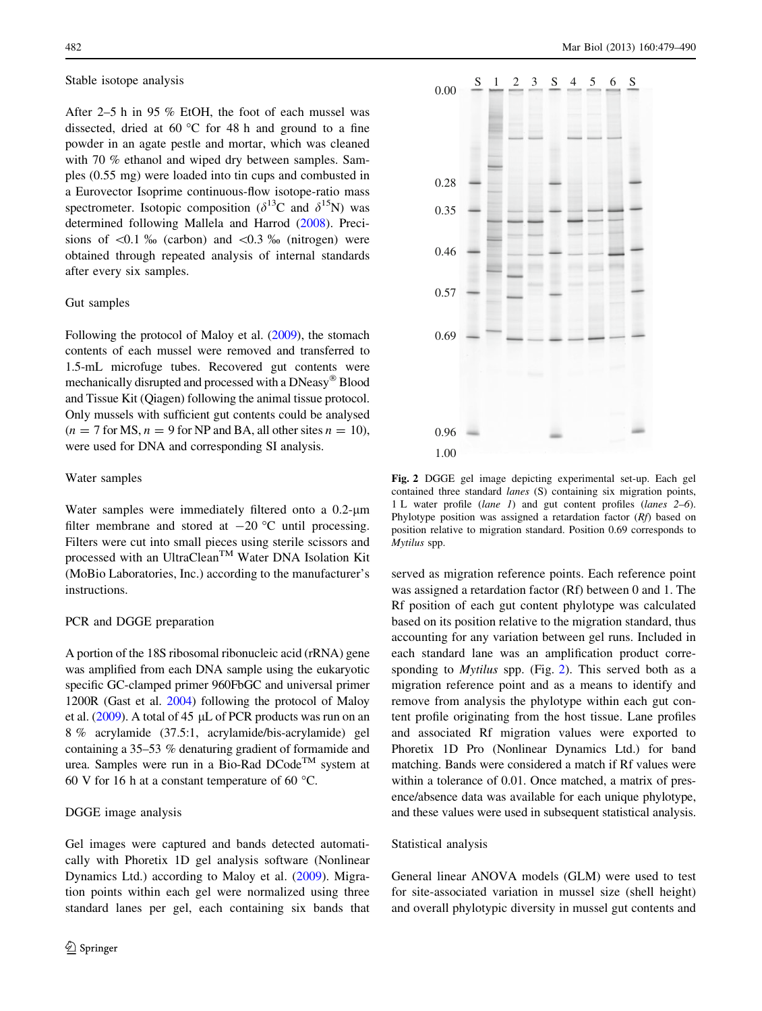## Stable isotope analysis

After 2–5 h in 95 % EtOH, the foot of each mussel was dissected, dried at 60  $^{\circ}$ C for 48 h and ground to a fine powder in an agate pestle and mortar, which was cleaned with 70 % ethanol and wiped dry between samples. Samples (0.55 mg) were loaded into tin cups and combusted in a Eurovector Isoprime continuous-flow isotope-ratio mass spectrometer. Isotopic composition ( $\delta^{13}$ C and  $\delta^{15}$ N) was determined following Mallela and Harrod ([2008\)](#page-10-0). Precisions of  $\langle 0.1 \rangle$  % (carbon) and  $\langle 0.3 \rangle$  % (nitrogen) were obtained through repeated analysis of internal standards after every six samples.

## Gut samples

Following the protocol of Maloy et al. ([2009](#page-10-0)), the stomach contents of each mussel were removed and transferred to 1.5-mL microfuge tubes. Recovered gut contents were mechanically disrupted and processed with a DNeasy® Blood and Tissue Kit (Qiagen) following the animal tissue protocol. Only mussels with sufficient gut contents could be analysed  $(n = 7$  for MS,  $n = 9$  for NP and BA, all other sites  $n = 10$ ), were used for DNA and corresponding SI analysis.

### Water samples

Water samples were immediately filtered onto a 0.2-µm filter membrane and stored at  $-20$  °C until processing. Filters were cut into small pieces using sterile scissors and processed with an UltraClean<sup>TM</sup> Water DNA Isolation Kit (MoBio Laboratories, Inc.) according to the manufacturer's instructions.

# PCR and DGGE preparation

A portion of the 18S ribosomal ribonucleic acid (rRNA) gene was amplified from each DNA sample using the eukaryotic specific GC-clamped primer 960FbGC and universal primer 1200R (Gast et al. [2004](#page-10-0)) following the protocol of Maloy et al.  $(2009)$ . A total of 45 µL of PCR products was run on an 8 % acrylamide (37.5:1, acrylamide/bis-acrylamide) gel containing a 35–53 % denaturing gradient of formamide and urea. Samples were run in a Bio-Rad  $DCode^{TM}$  system at 60 V for 16 h at a constant temperature of 60  $^{\circ}$ C.

## DGGE image analysis

Gel images were captured and bands detected automatically with Phoretix 1D gel analysis software (Nonlinear Dynamics Ltd.) according to Maloy et al. ([2009\)](#page-10-0). Migration points within each gel were normalized using three standard lanes per gel, each containing six bands that



Fig. 2 DGGE gel image depicting experimental set-up. Each gel contained three standard lanes (S) containing six migration points, 1 L water profile (lane 1) and gut content profiles (lanes 2–6). Phylotype position was assigned a retardation factor  $(Rf)$  based on position relative to migration standard. Position 0.69 corresponds to Mytilus spp.

served as migration reference points. Each reference point was assigned a retardation factor (Rf) between 0 and 1. The Rf position of each gut content phylotype was calculated based on its position relative to the migration standard, thus accounting for any variation between gel runs. Included in each standard lane was an amplification product corresponding to Mytilus spp. (Fig. 2). This served both as a migration reference point and as a means to identify and remove from analysis the phylotype within each gut content profile originating from the host tissue. Lane profiles and associated Rf migration values were exported to Phoretix 1D Pro (Nonlinear Dynamics Ltd.) for band matching. Bands were considered a match if Rf values were within a tolerance of 0.01. Once matched, a matrix of presence/absence data was available for each unique phylotype, and these values were used in subsequent statistical analysis.

## Statistical analysis

General linear ANOVA models (GLM) were used to test for site-associated variation in mussel size (shell height) and overall phylotypic diversity in mussel gut contents and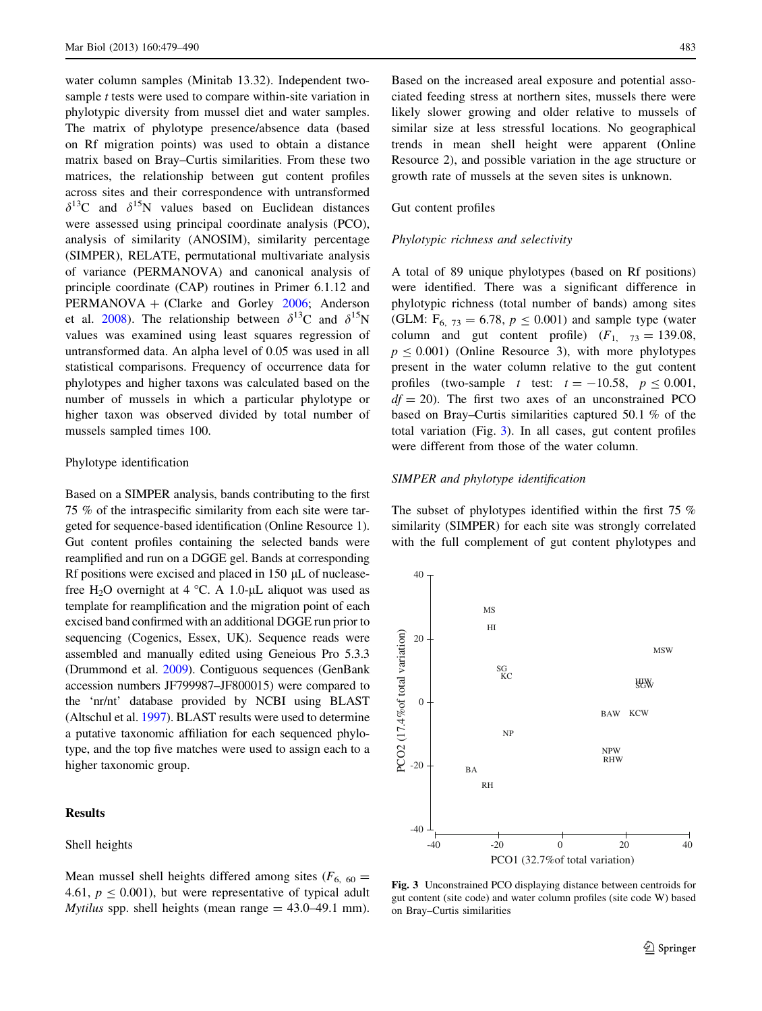water column samples (Minitab 13.32). Independent twosample *t* tests were used to compare within-site variation in phylotypic diversity from mussel diet and water samples. The matrix of phylotype presence/absence data (based on Rf migration points) was used to obtain a distance matrix based on Bray–Curtis similarities. From these two matrices, the relationship between gut content profiles across sites and their correspondence with untransformed  $\delta^{13}$ C and  $\delta^{15}$ N values based on Euclidean distances were assessed using principal coordinate analysis (PCO), analysis of similarity (ANOSIM), similarity percentage (SIMPER), RELATE, permutational multivariate analysis of variance (PERMANOVA) and canonical analysis of principle coordinate (CAP) routines in Primer 6.1.12 and PERMANOVA  $+$  (Clarke and Gorley [2006;](#page-10-0) Anderson et al. [2008](#page-10-0)). The relationship between  $\delta^{13}C$  and  $\delta^{15}N$ values was examined using least squares regression of untransformed data. An alpha level of 0.05 was used in all statistical comparisons. Frequency of occurrence data for phylotypes and higher taxons was calculated based on the number of mussels in which a particular phylotype or higher taxon was observed divided by total number of mussels sampled times 100.

# Phylotype identification

Based on a SIMPER analysis, bands contributing to the first 75 % of the intraspecific similarity from each site were targeted for sequence-based identification (Online Resource 1). Gut content profiles containing the selected bands were reamplified and run on a DGGE gel. Bands at corresponding Rf positions were excised and placed in  $150 \mu L$  of nucleasefree H<sub>2</sub>O overnight at 4 °C. A 1.0- $\mu$ L aliquot was used as template for reamplification and the migration point of each excised band confirmed with an additional DGGE run prior to sequencing (Cogenics, Essex, UK). Sequence reads were assembled and manually edited using Geneious Pro 5.3.3 (Drummond et al. [2009](#page-10-0)). Contiguous sequences (GenBank accession numbers JF799987–JF800015) were compared to the 'nr/nt' database provided by NCBI using BLAST (Altschul et al. [1997\)](#page-9-0). BLAST results were used to determine a putative taxonomic affiliation for each sequenced phylotype, and the top five matches were used to assign each to a higher taxonomic group.

# Results

#### Shell heights

Mean mussel shell heights differed among sites ( $F_{6, 60}$  = 4.61,  $p \le 0.001$ ), but were representative of typical adult *Mytilus* spp. shell heights (mean range  $= 43.0 - 49.1$  mm).

Based on the increased areal exposure and potential associated feeding stress at northern sites, mussels there were likely slower growing and older relative to mussels of similar size at less stressful locations. No geographical trends in mean shell height were apparent (Online Resource 2), and possible variation in the age structure or growth rate of mussels at the seven sites is unknown.

## Gut content profiles

#### Phylotypic richness and selectivity

A total of 89 unique phylotypes (based on Rf positions) were identified. There was a significant difference in phylotypic richness (total number of bands) among sites (GLM:  $F_{6, 73} = 6.78, p \le 0.001$ ) and sample type (water column and gut content profile)  $(F_1, \tau_3 = 139.08,$  $p \le 0.001$ ) (Online Resource 3), with more phylotypes present in the water column relative to the gut content profiles (two-sample t test:  $t = -10.58$ ,  $p \le 0.001$ ,  $df = 20$ ). The first two axes of an unconstrained PCO based on Bray–Curtis similarities captured 50.1 % of the total variation (Fig. 3). In all cases, gut content profiles were different from those of the water column.

# SIMPER and phylotype identification

The subset of phylotypes identified within the first 75 % similarity (SIMPER) for each site was strongly correlated with the full complement of gut content phylotypes and



Fig. 3 Unconstrained PCO displaying distance between centroids for gut content (site code) and water column profiles (site code W) based on Bray–Curtis similarities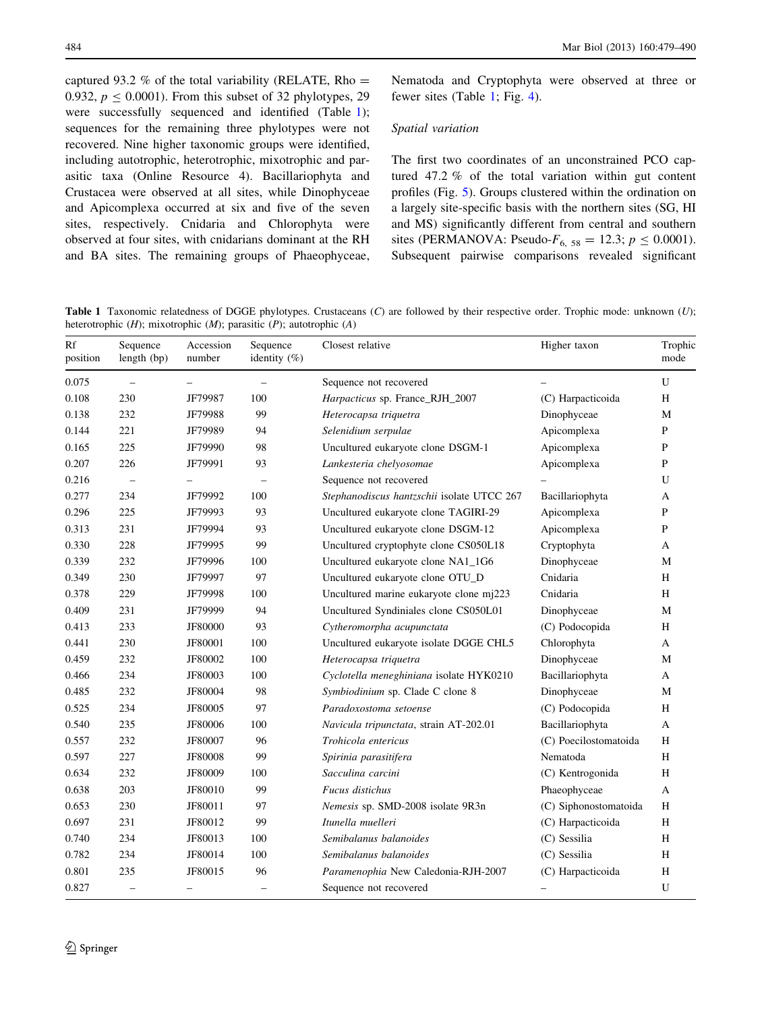<span id="page-5-0"></span>captured 93.2 % of the total variability (RELATE, Rho  $=$ 0.932,  $p \le 0.0001$ ). From this subset of 32 phylotypes, 29 were successfully sequenced and identified (Table 1); sequences for the remaining three phylotypes were not recovered. Nine higher taxonomic groups were identified, including autotrophic, heterotrophic, mixotrophic and parasitic taxa (Online Resource 4). Bacillariophyta and Crustacea were observed at all sites, while Dinophyceae and Apicomplexa occurred at six and five of the seven sites, respectively. Cnidaria and Chlorophyta were observed at four sites, with cnidarians dominant at the RH and BA sites. The remaining groups of Phaeophyceae,

Nematoda and Cryptophyta were observed at three or fewer sites (Table 1; Fig. [4](#page-6-0)).

## Spatial variation

The first two coordinates of an unconstrained PCO captured 47.2 % of the total variation within gut content profiles (Fig. [5](#page-6-0)). Groups clustered within the ordination on a largely site-specific basis with the northern sites (SG, HI and MS) significantly different from central and southern sites (PERMANOVA: Pseudo- $F_{6, 58} = 12.3; p \le 0.0001$ ). Subsequent pairwise comparisons revealed significant

Table 1 Taxonomic relatedness of DGGE phylotypes. Crustaceans (C) are followed by their respective order. Trophic mode: unknown (U); heterotrophic  $(H)$ ; mixotrophic  $(M)$ ; parasitic  $(P)$ ; autotrophic  $(A)$ 

| Rf<br>position | Sequence<br>length $(bp)$ | Accession<br>number      | Sequence<br>identity $(\%)$ | Closest relative                           | Higher taxon             | Trophic<br>mode<br>U |
|----------------|---------------------------|--------------------------|-----------------------------|--------------------------------------------|--------------------------|----------------------|
| 0.075          | $\overline{\phantom{0}}$  |                          |                             | Sequence not recovered                     |                          |                      |
| 0.108          | 230                       | JF79987                  | 100                         | Harpacticus sp. France_RJH_2007            | (C) Harpacticoida        | H                    |
| 0.138          | 232                       | JF79988                  | 99                          | Heterocapsa triquetra                      | Dinophyceae              | M                    |
| 0.144          | 221                       | JF79989                  | 94                          | Selenidium serpulae                        | Apicomplexa              | P                    |
| 0.165          | 225                       | JF79990                  | 98                          | Uncultured eukaryote clone DSGM-1          | Apicomplexa              | P                    |
| 0.207          | 226                       | JF79991                  | 93                          | Lankesteria chelyosomae                    | Apicomplexa              | P                    |
| 0.216          | $\overline{\phantom{a}}$  |                          | $\overline{\phantom{0}}$    | Sequence not recovered                     |                          | U                    |
| 0.277          | 234                       | JF79992                  | 100                         | Stephanodiscus hantzschii isolate UTCC 267 | Bacillariophyta          | A                    |
| 0.296          | 225                       | JF79993                  | 93                          | Uncultured eukaryote clone TAGIRI-29       | Apicomplexa              | $\mathbf{P}$         |
| 0.313          | 231                       | JF79994                  | 93                          | Uncultured eukaryote clone DSGM-12         | Apicomplexa              | P                    |
| 0.330          | 228                       | JF79995                  | 99                          | Uncultured cryptophyte clone CS050L18      | Cryptophyta              | A                    |
| 0.339          | 232                       | JF79996                  | 100                         | Uncultured eukaryote clone NA1_1G6         | Dinophyceae              | M                    |
| 0.349          | 230                       | JF79997                  | 97                          | Uncultured eukaryote clone OTU_D           | Cnidaria                 | H                    |
| 0.378          | 229                       | JF79998                  | 100                         | Uncultured marine eukaryote clone mj223    | Cnidaria                 | H                    |
| 0.409          | 231                       | JF79999                  | 94                          | Uncultured Syndiniales clone CS050L01      | Dinophyceae              | M                    |
| 0.413          | 233                       | JF80000                  | 93                          | Cytheromorpha acupunctata                  | (C) Podocopida           | H                    |
| 0.441          | 230                       | JF80001                  | 100                         | Uncultured eukaryote isolate DGGE CHL5     | Chlorophyta              | A                    |
| 0.459          | 232                       | JF80002                  | 100                         | Heterocapsa triquetra                      | Dinophyceae              | М                    |
| 0.466          | 234                       | JF80003                  | 100                         | Cyclotella meneghiniana isolate HYK0210    | Bacillariophyta          | A                    |
| 0.485          | 232                       | JF80004                  | 98                          | Symbiodinium sp. Clade C clone 8           | Dinophyceae              | M                    |
| 0.525          | 234                       | JF80005                  | 97                          | Paradoxostoma setoense                     | (C) Podocopida           | H                    |
| 0.540          | 235                       | JF80006                  | 100                         | Navicula tripunctata, strain AT-202.01     | Bacillariophyta          | A                    |
| 0.557          | 232                       | JF80007                  | 96                          | Trohicola entericus                        | (C) Poecilostomatoida    | H                    |
| 0.597          | 227                       | <b>JF80008</b>           | 99                          | Spirinia parasitifera                      | Nematoda                 | H                    |
| 0.634          | 232                       | JF80009                  | 100                         | Sacculina carcini                          | (C) Kentrogonida         | H                    |
| 0.638          | 203                       | JF80010                  | 99                          | Fucus distichus                            | Phaeophyceae             | A                    |
| 0.653          | 230                       | JF80011                  | 97                          | Nemesis sp. SMD-2008 isolate 9R3n          | (C) Siphonostomatoida    | H                    |
| 0.697          | 231                       | JF80012                  | 99                          | Itunella muelleri                          | (C) Harpacticoida        | H                    |
| 0.740          | 234                       | JF80013                  | 100                         | Semibalanus balanoides                     | (C) Sessilia             | H                    |
| 0.782          | 234                       | JF80014                  | 100                         | Semibalanus balanoides                     | (C) Sessilia             | H                    |
| 0.801          | 235                       | JF80015                  | 96                          | Paramenophia New Caledonia-RJH-2007        | (C) Harpacticoida        | H                    |
| 0.827          | $\overline{\phantom{0}}$  | $\overline{\phantom{0}}$ | $\overline{\phantom{0}}$    | Sequence not recovered                     | $\overline{\phantom{0}}$ | $\mathbf U$          |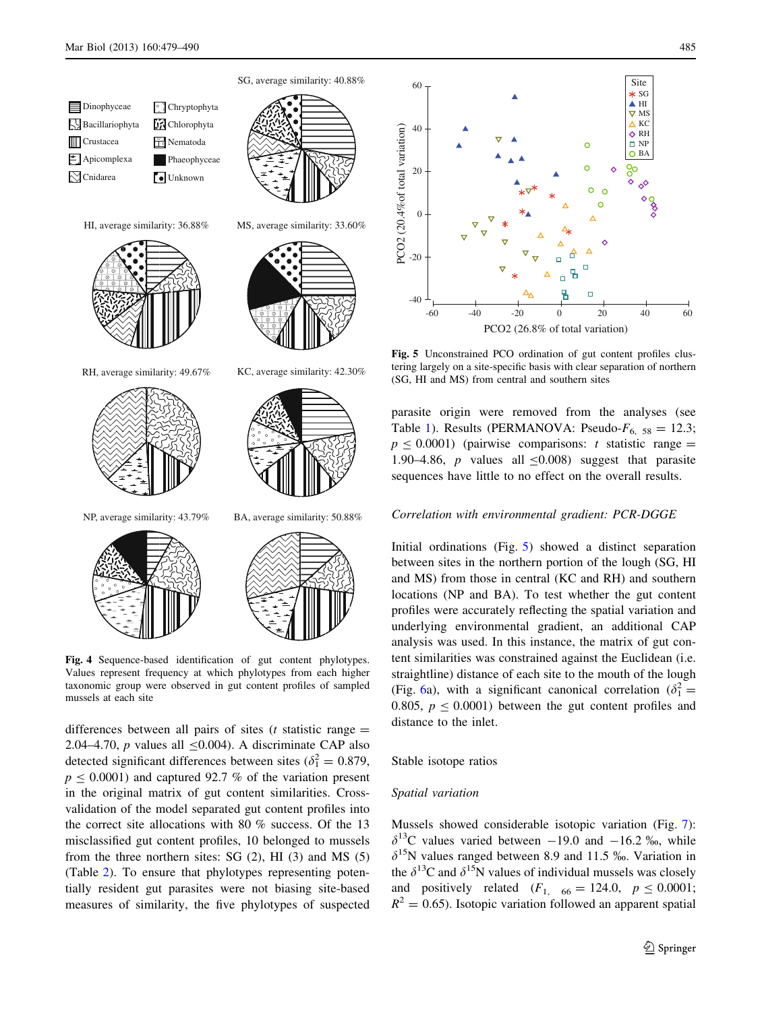<span id="page-6-0"></span>

HI, average similarity: 36.88%





MS, average similarity: 33.60%



KC, average similarity: 42.30%

RH, average similarity: 49.67%



NP, average similarity: 43.79%



BA, average similarity: 50.88%

Fig. 4 Sequence-based identification of gut content phylotypes. Values represent frequency at which phylotypes from each higher taxonomic group were observed in gut content profiles of sampled mussels at each site

differences between all pairs of sites ( $t$  statistic range  $=$ 2.04–4.70, p values all  $\leq$ 0.004). A discriminate CAP also detected significant differences between sites ( $\delta_1^2 = 0.879$ ,  $p \le 0.0001$ ) and captured 92.7 % of the variation present in the original matrix of gut content similarities. Crossvalidation of the model separated gut content profiles into the correct site allocations with 80 % success. Of the 13 misclassified gut content profiles, 10 belonged to mussels from the three northern sites:  $SG(2)$ ,  $HI(3)$  and  $MS(5)$ (Table [2](#page-7-0)). To ensure that phylotypes representing potentially resident gut parasites were not biasing site-based measures of similarity, the five phylotypes of suspected



Fig. 5 Unconstrained PCO ordination of gut content profiles clustering largely on a site-specific basis with clear separation of northern (SG, HI and MS) from central and southern sites

parasite origin were removed from the analyses (see Table [1](#page-5-0)). Results (PERMANOVA: Pseudo- $F_{6, 58} = 12.3$ ;  $p \le 0.0001$ ) (pairwise comparisons: t statistic range = 1.90–4.86, *p* values all  $\leq$ 0.008) suggest that parasite sequences have little to no effect on the overall results.

# Correlation with environmental gradient: PCR-DGGE

Initial ordinations (Fig. 5) showed a distinct separation between sites in the northern portion of the lough (SG, HI and MS) from those in central (KC and RH) and southern locations (NP and BA). To test whether the gut content profiles were accurately reflecting the spatial variation and underlying environmental gradient, an additional CAP analysis was used. In this instance, the matrix of gut content similarities was constrained against the Euclidean (i.e. straightline) distance of each site to the mouth of the lough (Fig. [6a](#page-7-0)), with a significant canonical correlation ( $\delta_1^2$  = 0.805,  $p \le 0.0001$ ) between the gut content profiles and distance to the inlet.

## Stable isotope ratios

#### Spatial variation

Mussels showed considerable isotopic variation (Fig. [7](#page-8-0)):  $\delta^{13}$ C values varied between -19.0 and -16.2 ‰, while  $\delta^{15}$ N values ranged between 8.9 and 11.5 ‰. Variation in the  $\delta^{13}$ C and  $\delta^{15}$ N values of individual mussels was closely and positively related  $(F_1, 66 = 124.0, p \le 0.0001;$  $R^2 = 0.65$ ). Isotopic variation followed an apparent spatial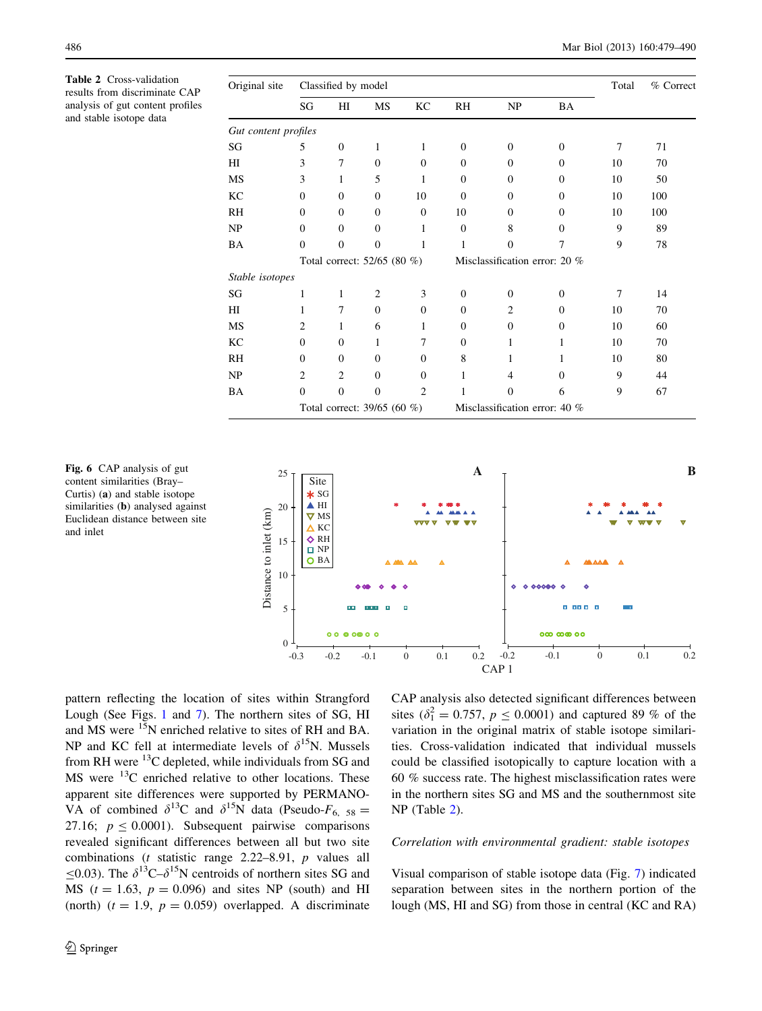<span id="page-7-0"></span>Table 2 Cross-validation results from discriminate CAP analysis of gut content profiles and stable isotope data

| Original site        |                             | Classified by model | Total            | % Correct      |                               |                               |              |    |     |
|----------------------|-----------------------------|---------------------|------------------|----------------|-------------------------------|-------------------------------|--------------|----|-----|
|                      | SG                          | H <sub>I</sub>      | MS               | KC             | <b>RH</b>                     | NP                            | BA           |    |     |
| Gut content profiles |                             |                     |                  |                |                               |                               |              |    |     |
| SG                   | 5                           | $\boldsymbol{0}$    | 1                | $\mathbf{1}$   | $\theta$                      | $\theta$                      | $\mathbf{0}$ | 7  | 71  |
| H <sub>I</sub>       | 3                           | 7                   | $\mathbf{0}$     | $\mathbf{0}$   | $\mathbf{0}$                  | $\theta$                      | $\mathbf{0}$ | 10 | 70  |
| MS                   | 3                           | 1                   | 5                | 1              | $\Omega$                      | $\Omega$                      | $\Omega$     | 10 | 50  |
| KC                   | $\mathbf{0}$                | $\theta$            | $\mathbf{0}$     | 10             | $\Omega$                      | $\Omega$                      | $\Omega$     | 10 | 100 |
| <b>RH</b>            | $\mathbf{0}$                | $\mathbf{0}$        | $\mathbf{0}$     | $\mathbf{0}$   | 10                            | $\Omega$                      | $\Omega$     | 10 | 100 |
| NP                   | $\boldsymbol{0}$            | $\mathbf{0}$        | $\mathbf{0}$     | 1              | $\theta$                      | 8                             | $\mathbf{0}$ | 9  | 89  |
| BA                   | $\mathbf{0}$                | $\mathbf{0}$        | $\boldsymbol{0}$ | 1              | $\mathbf{1}$                  | $\mathbf{0}$                  | 7            | 9  | 78  |
|                      | Total correct: 52/65 (80 %) |                     |                  |                |                               | Misclassification error: 20 % |              |    |     |
| Stable isotopes      |                             |                     |                  |                |                               |                               |              |    |     |
| SG                   | 1                           | 1                   | $\overline{2}$   | 3              | $\mathbf{0}$                  | $\mathbf{0}$                  | $\mathbf{0}$ | 7  | 14  |
| H                    | 1                           | 7                   | $\mathbf{0}$     | $\mathbf{0}$   | $\mathbf{0}$                  | 2                             | $\mathbf{0}$ | 10 | 70  |
| MS                   | $\overline{2}$              | 1                   | 6                | 1              | $\mathbf{0}$                  | $\mathbf{0}$                  | $\mathbf{0}$ | 10 | 60  |
| KC                   | $\mathbf{0}$                | $\mathbf{0}$        | 1                | 7              | $\mathbf{0}$                  | $\mathbf{1}$                  | 1            | 10 | 70  |
| <b>RH</b>            | $\mathbf{0}$                | $\mathbf{0}$        | $\Omega$         | $\Omega$       | 8                             | 1                             | 1            | 10 | 80  |
| NP                   | $\overline{c}$              | $\overline{2}$      | $\mathbf{0}$     | $\mathbf{0}$   | 1                             | $\overline{4}$                | $\Omega$     | 9  | 44  |
| BA                   | $\mathbf{0}$                | $\boldsymbol{0}$    | $\mathbf{0}$     | $\overline{c}$ | 1                             | $\Omega$                      | 6            | 9  | 67  |
|                      | Total correct: 39/65 (60 %) |                     |                  |                | Misclassification error: 40 % |                               |              |    |     |

similarities (b) analysed against Euclidean distance between site

content similarities (Bray– Curtis) (a) and stable isotope and inlet

pattern reflecting the location of sites within Strangford Lough (See Figs. [1](#page-2-0) and [7](#page-8-0)). The northern sites of SG, HI and MS were  $1\bar{5}N$  enriched relative to sites of RH and BA. NP and KC fell at intermediate levels of  $\delta^{15}$ N. Mussels from RH were 13C depleted, while individuals from SG and MS were <sup>13</sup>C enriched relative to other locations. These apparent site differences were supported by PERMANO-VA of combined  $\delta^{13}C$  and  $\delta^{15}N$  data (Pseudo- $F_{6, 58}$  = 27.16;  $p \le 0.0001$ ). Subsequent pairwise comparisons revealed significant differences between all but two site combinations ( $t$  statistic range 2.22–8.91,  $p$  values all  $\leq$ 0.03). The  $\delta$ <sup>13</sup>C– $\delta$ <sup>15</sup>N centroids of northern sites SG and MS  $(t = 1.63, p = 0.096)$  and sites NP (south) and HI (north)  $(t = 1.9, p = 0.059)$  overlapped. A discriminate CAP analysis also detected significant differences between sites ( $\delta_1^2 = 0.757$ ,  $p \le 0.0001$ ) and captured 89 % of the variation in the original matrix of stable isotope similarities. Cross-validation indicated that individual mussels could be classified isotopically to capture location with a 60 % success rate. The highest misclassification rates were in the northern sites SG and MS and the southernmost site NP (Table 2).

# Correlation with environmental gradient: stable isotopes

Visual comparison of stable isotope data (Fig. [7](#page-8-0)) indicated separation between sites in the northern portion of the lough (MS, HI and SG) from those in central (KC and RA)

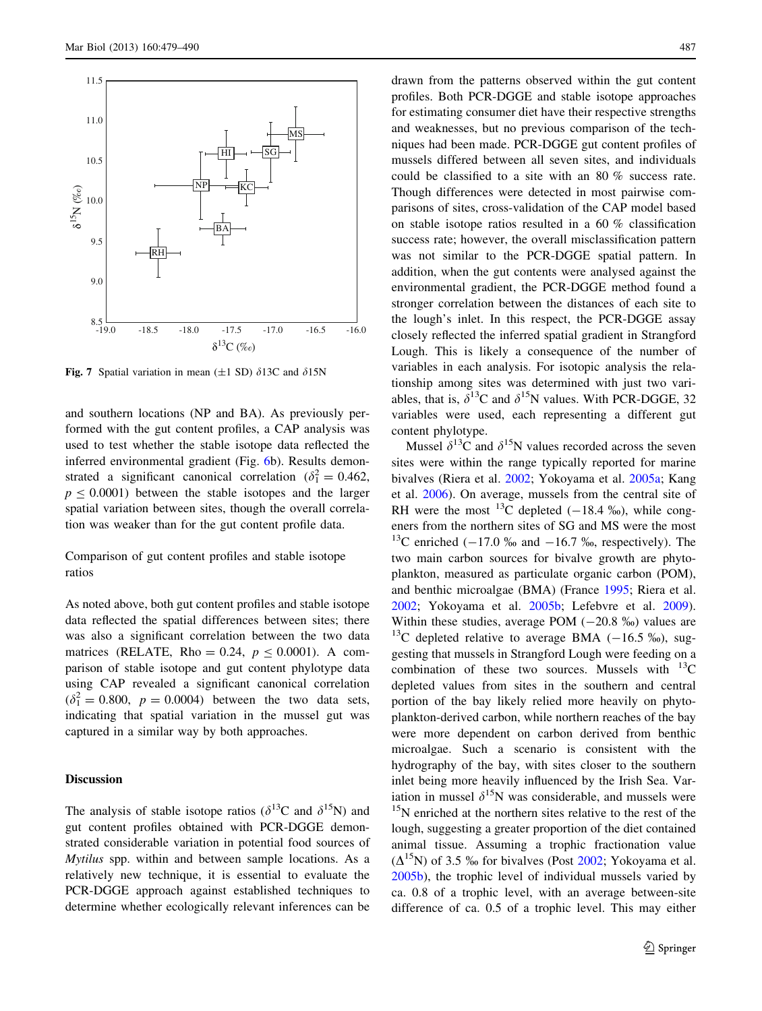<span id="page-8-0"></span>

Fig. 7 Spatial variation in mean ( $\pm 1$  SD)  $\delta$ 13C and  $\delta$ 15N

and southern locations (NP and BA). As previously performed with the gut content profiles, a CAP analysis was used to test whether the stable isotope data reflected the inferred environmental gradient (Fig. [6](#page-7-0)b). Results demonstrated a significant canonical correlation ( $\delta_1^2 = 0.462$ ,  $p \le 0.0001$ ) between the stable isotopes and the larger spatial variation between sites, though the overall correlation was weaker than for the gut content profile data.

Comparison of gut content profiles and stable isotope ratios

As noted above, both gut content profiles and stable isotope data reflected the spatial differences between sites; there was also a significant correlation between the two data matrices (RELATE, Rho = 0.24,  $p \le 0.0001$ ). A comparison of stable isotope and gut content phylotype data using CAP revealed a significant canonical correlation  $(\delta_1^2 = 0.800, \ p = 0.0004)$  between the two data sets, indicating that spatial variation in the mussel gut was captured in a similar way by both approaches.

# **Discussion**

The analysis of stable isotope ratios ( $\delta^{13}$ C and  $\delta^{15}$ N) and gut content profiles obtained with PCR-DGGE demonstrated considerable variation in potential food sources of Mytilus spp. within and between sample locations. As a relatively new technique, it is essential to evaluate the PCR-DGGE approach against established techniques to determine whether ecologically relevant inferences can be drawn from the patterns observed within the gut content profiles. Both PCR-DGGE and stable isotope approaches for estimating consumer diet have their respective strengths and weaknesses, but no previous comparison of the techniques had been made. PCR-DGGE gut content profiles of mussels differed between all seven sites, and individuals could be classified to a site with an 80 % success rate. Though differences were detected in most pairwise comparisons of sites, cross-validation of the CAP model based on stable isotope ratios resulted in a 60 % classification success rate; however, the overall misclassification pattern was not similar to the PCR-DGGE spatial pattern. In addition, when the gut contents were analysed against the environmental gradient, the PCR-DGGE method found a stronger correlation between the distances of each site to the lough's inlet. In this respect, the PCR-DGGE assay closely reflected the inferred spatial gradient in Strangford Lough. This is likely a consequence of the number of variables in each analysis. For isotopic analysis the relationship among sites was determined with just two variables, that is,  $\delta^{13}$ C and  $\delta^{15}$ N values. With PCR-DGGE, 32 variables were used, each representing a different gut content phylotype.

Mussel  $\delta^{13}$ C and  $\delta^{15}$ N values recorded across the seven sites were within the range typically reported for marine bivalves (Riera et al. [2002;](#page-11-0) Yokoyama et al. [2005a](#page-11-0); Kang et al. [2006](#page-10-0)). On average, mussels from the central site of RH were the most <sup>13</sup>C depleted  $(-18.4 \text{ %})$ , while congeners from the northern sites of SG and MS were the most <sup>13</sup>C enriched  $(-17.0 \text{ %} \cdot \text{ and } -16.7 \text{ %} \cdot \text{, respectively}).$  The two main carbon sources for bivalve growth are phytoplankton, measured as particulate organic carbon (POM), and benthic microalgae (BMA) (France [1995](#page-10-0); Riera et al. [2002](#page-11-0); Yokoyama et al. [2005b;](#page-11-0) Lefebvre et al. [2009](#page-10-0)). Within these studies, average POM  $(-20.8\%$ ) values are <sup>13</sup>C depleted relative to average BMA  $(-16.5\%)$ , suggesting that mussels in Strangford Lough were feeding on a combination of these two sources. Mussels with  $^{13}$ C depleted values from sites in the southern and central portion of the bay likely relied more heavily on phytoplankton-derived carbon, while northern reaches of the bay were more dependent on carbon derived from benthic microalgae. Such a scenario is consistent with the hydrography of the bay, with sites closer to the southern inlet being more heavily influenced by the Irish Sea. Variation in mussel  $\delta^{15}N$  was considerable, and mussels were <sup>15</sup>N enriched at the northern sites relative to the rest of the lough, suggesting a greater proportion of the diet contained animal tissue. Assuming a trophic fractionation value  $(\Delta^{15}N)$  of 3.5 ‰ for bivalves (Post [2002;](#page-11-0) Yokoyama et al. [2005b](#page-11-0)), the trophic level of individual mussels varied by ca. 0.8 of a trophic level, with an average between-site difference of ca. 0.5 of a trophic level. This may either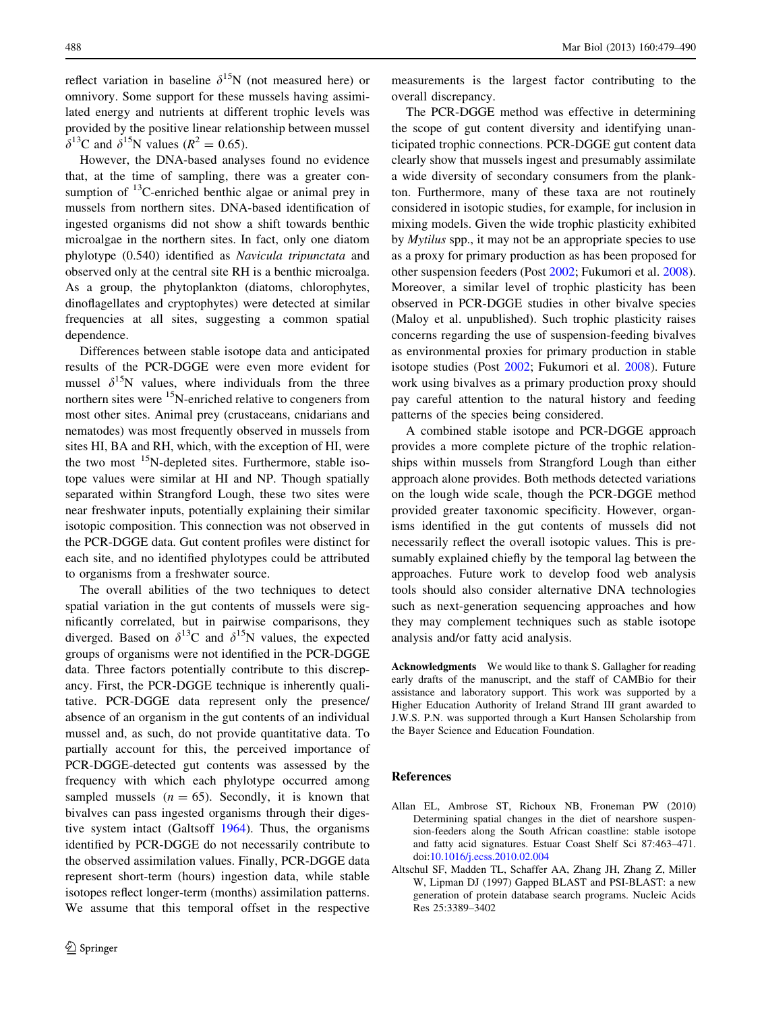<span id="page-9-0"></span>reflect variation in baseline  $\delta^{15}N$  (not measured here) or omnivory. Some support for these mussels having assimilated energy and nutrients at different trophic levels was provided by the positive linear relationship between mussel  $\delta^{13}$ C and  $\delta^{15}$ N values ( $R^2 = 0.65$ ).

However, the DNA-based analyses found no evidence that, at the time of sampling, there was a greater consumption of  $^{13}$ C-enriched benthic algae or animal prey in mussels from northern sites. DNA-based identification of ingested organisms did not show a shift towards benthic microalgae in the northern sites. In fact, only one diatom phylotype (0.540) identified as Navicula tripunctata and observed only at the central site RH is a benthic microalga. As a group, the phytoplankton (diatoms, chlorophytes, dinoflagellates and cryptophytes) were detected at similar frequencies at all sites, suggesting a common spatial dependence.

Differences between stable isotope data and anticipated results of the PCR-DGGE were even more evident for mussel  $\delta^{15}N$  values, where individuals from the three northern sites were <sup>15</sup>N-enriched relative to congeners from most other sites. Animal prey (crustaceans, cnidarians and nematodes) was most frequently observed in mussels from sites HI, BA and RH, which, with the exception of HI, were the two most  $^{15}$ N-depleted sites. Furthermore, stable isotope values were similar at HI and NP. Though spatially separated within Strangford Lough, these two sites were near freshwater inputs, potentially explaining their similar isotopic composition. This connection was not observed in the PCR-DGGE data. Gut content profiles were distinct for each site, and no identified phylotypes could be attributed to organisms from a freshwater source.

The overall abilities of the two techniques to detect spatial variation in the gut contents of mussels were significantly correlated, but in pairwise comparisons, they diverged. Based on  $\delta^{13}$ C and  $\delta^{15}$ N values, the expected groups of organisms were not identified in the PCR-DGGE data. Three factors potentially contribute to this discrepancy. First, the PCR-DGGE technique is inherently qualitative. PCR-DGGE data represent only the presence/ absence of an organism in the gut contents of an individual mussel and, as such, do not provide quantitative data. To partially account for this, the perceived importance of PCR-DGGE-detected gut contents was assessed by the frequency with which each phylotype occurred among sampled mussels  $(n = 65)$ . Secondly, it is known that bivalves can pass ingested organisms through their digestive system intact (Galtsoff [1964](#page-10-0)). Thus, the organisms identified by PCR-DGGE do not necessarily contribute to the observed assimilation values. Finally, PCR-DGGE data represent short-term (hours) ingestion data, while stable isotopes reflect longer-term (months) assimilation patterns. We assume that this temporal offset in the respective

measurements is the largest factor contributing to the overall discrepancy.

The PCR-DGGE method was effective in determining the scope of gut content diversity and identifying unanticipated trophic connections. PCR-DGGE gut content data clearly show that mussels ingest and presumably assimilate a wide diversity of secondary consumers from the plankton. Furthermore, many of these taxa are not routinely considered in isotopic studies, for example, for inclusion in mixing models. Given the wide trophic plasticity exhibited by Mytilus spp., it may not be an appropriate species to use as a proxy for primary production as has been proposed for other suspension feeders (Post [2002;](#page-11-0) Fukumori et al. [2008](#page-10-0)). Moreover, a similar level of trophic plasticity has been observed in PCR-DGGE studies in other bivalve species (Maloy et al. unpublished). Such trophic plasticity raises concerns regarding the use of suspension-feeding bivalves as environmental proxies for primary production in stable isotope studies (Post [2002](#page-11-0); Fukumori et al. [2008\)](#page-10-0). Future work using bivalves as a primary production proxy should pay careful attention to the natural history and feeding patterns of the species being considered.

A combined stable isotope and PCR-DGGE approach provides a more complete picture of the trophic relationships within mussels from Strangford Lough than either approach alone provides. Both methods detected variations on the lough wide scale, though the PCR-DGGE method provided greater taxonomic specificity. However, organisms identified in the gut contents of mussels did not necessarily reflect the overall isotopic values. This is presumably explained chiefly by the temporal lag between the approaches. Future work to develop food web analysis tools should also consider alternative DNA technologies such as next-generation sequencing approaches and how they may complement techniques such as stable isotope analysis and/or fatty acid analysis.

Acknowledgments We would like to thank S. Gallagher for reading early drafts of the manuscript, and the staff of CAMBio for their assistance and laboratory support. This work was supported by a Higher Education Authority of Ireland Strand III grant awarded to J.W.S. P.N. was supported through a Kurt Hansen Scholarship from the Bayer Science and Education Foundation.

#### References

- Allan EL, Ambrose ST, Richoux NB, Froneman PW (2010) Determining spatial changes in the diet of nearshore suspension-feeders along the South African coastline: stable isotope and fatty acid signatures. Estuar Coast Shelf Sci 87:463–471. doi[:10.1016/j.ecss.2010.02.004](http://dx.doi.org/10.1016/j.ecss.2010.02.004)
- Altschul SF, Madden TL, Schaffer AA, Zhang JH, Zhang Z, Miller W, Lipman DJ (1997) Gapped BLAST and PSI-BLAST: a new generation of protein database search programs. Nucleic Acids Res 25:3389–3402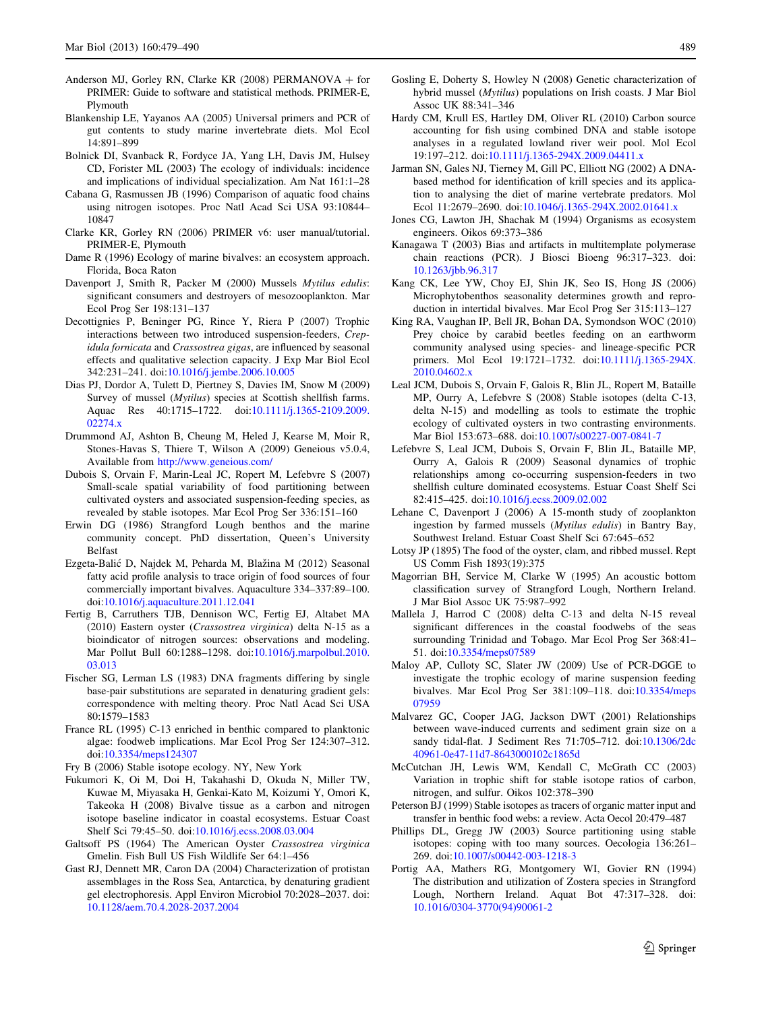- <span id="page-10-0"></span>Anderson MJ, Gorley RN, Clarke KR (2008) PERMANOVA  $+$  for PRIMER: Guide to software and statistical methods. PRIMER-E, Plymouth
- Blankenship LE, Yayanos AA (2005) Universal primers and PCR of gut contents to study marine invertebrate diets. Mol Ecol 14:891–899
- Bolnick DI, Svanback R, Fordyce JA, Yang LH, Davis JM, Hulsey CD, Forister ML (2003) The ecology of individuals: incidence and implications of individual specialization. Am Nat 161:1–28
- Cabana G, Rasmussen JB (1996) Comparison of aquatic food chains using nitrogen isotopes. Proc Natl Acad Sci USA 93:10844– 10847
- Clarke KR, Gorley RN (2006) PRIMER v6: user manual/tutorial. PRIMER-E, Plymouth
- Dame R (1996) Ecology of marine bivalves: an ecosystem approach. Florida, Boca Raton
- Davenport J, Smith R, Packer M (2000) Mussels Mytilus edulis: significant consumers and destroyers of mesozooplankton. Mar Ecol Prog Ser 198:131–137
- Decottignies P, Beninger PG, Rince Y, Riera P (2007) Trophic interactions between two introduced suspension-feeders, Crepidula fornicata and Crassostrea gigas, are influenced by seasonal effects and qualitative selection capacity. J Exp Mar Biol Ecol 342:231–241. doi:[10.1016/j.jembe.2006.10.005](http://dx.doi.org/10.1016/j.jembe.2006.10.005)
- Dias PJ, Dordor A, Tulett D, Piertney S, Davies IM, Snow M (2009) Survey of mussel (Mytilus) species at Scottish shellfish farms. Aquac Res 40:1715–1722. doi:[10.1111/j.1365-2109.2009.](http://dx.doi.org/10.1111/j.1365-2109.2009.02274.x) [02274.x](http://dx.doi.org/10.1111/j.1365-2109.2009.02274.x)
- Drummond AJ, Ashton B, Cheung M, Heled J, Kearse M, Moir R, Stones-Havas S, Thiere T, Wilson A (2009) Geneious v5.0.4, Available from <http://www.geneious.com/>
- Dubois S, Orvain F, Marin-Leal JC, Ropert M, Lefebvre S (2007) Small-scale spatial variability of food partitioning between cultivated oysters and associated suspension-feeding species, as revealed by stable isotopes. Mar Ecol Prog Ser 336:151–160
- Erwin DG (1986) Strangford Lough benthos and the marine community concept. PhD dissertation, Queen's University Belfast
- Ezgeta-Balić D, Najdek M, Peharda M, Blažina M (2012) Seasonal fatty acid profile analysis to trace origin of food sources of four commercially important bivalves. Aquaculture 334–337:89–100. doi[:10.1016/j.aquaculture.2011.12.041](http://dx.doi.org/10.1016/j.aquaculture.2011.12.041)
- Fertig B, Carruthers TJB, Dennison WC, Fertig EJ, Altabet MA (2010) Eastern oyster (Crassostrea virginica) delta N-15 as a bioindicator of nitrogen sources: observations and modeling. Mar Pollut Bull 60:1288–1298. doi:[10.1016/j.marpolbul.2010.](http://dx.doi.org/10.1016/j.marpolbul.2010.03.013) [03.013](http://dx.doi.org/10.1016/j.marpolbul.2010.03.013)
- Fischer SG, Lerman LS (1983) DNA fragments differing by single base-pair substitutions are separated in denaturing gradient gels: correspondence with melting theory. Proc Natl Acad Sci USA 80:1579–1583
- France RL (1995) C-13 enriched in benthic compared to planktonic algae: foodweb implications. Mar Ecol Prog Ser 124:307–312. doi[:10.3354/meps124307](http://dx.doi.org/10.3354/meps124307)
- Fry B (2006) Stable isotope ecology. NY, New York
- Fukumori K, Oi M, Doi H, Takahashi D, Okuda N, Miller TW, Kuwae M, Miyasaka H, Genkai-Kato M, Koizumi Y, Omori K, Takeoka H (2008) Bivalve tissue as a carbon and nitrogen isotope baseline indicator in coastal ecosystems. Estuar Coast Shelf Sci 79:45–50. doi:[10.1016/j.ecss.2008.03.004](http://dx.doi.org/10.1016/j.ecss.2008.03.004)
- Galtsoff PS (1964) The American Oyster Crassostrea virginica Gmelin. Fish Bull US Fish Wildlife Ser 64:1–456
- Gast RJ, Dennett MR, Caron DA (2004) Characterization of protistan assemblages in the Ross Sea, Antarctica, by denaturing gradient gel electrophoresis. Appl Environ Microbiol 70:2028–2037. doi: [10.1128/aem.70.4.2028-2037.2004](http://dx.doi.org/10.1128/aem.70.4.2028-2037.2004)
- Gosling E, Doherty S, Howley N (2008) Genetic characterization of hybrid mussel (Mytilus) populations on Irish coasts. J Mar Biol Assoc UK 88:341–346
- Hardy CM, Krull ES, Hartley DM, Oliver RL (2010) Carbon source accounting for fish using combined DNA and stable isotope analyses in a regulated lowland river weir pool. Mol Ecol 19:197–212. doi:[10.1111/j.1365-294X.2009.04411.x](http://dx.doi.org/10.1111/j.1365-294X.2009.04411.x)
- Jarman SN, Gales NJ, Tierney M, Gill PC, Elliott NG (2002) A DNAbased method for identification of krill species and its application to analysing the diet of marine vertebrate predators. Mol Ecol 11:2679–2690. doi:[10.1046/j.1365-294X.2002.01641.x](http://dx.doi.org/10.1046/j.1365-294X.2002.01641.x)
- Jones CG, Lawton JH, Shachak M (1994) Organisms as ecosystem engineers. Oikos 69:373–386
- Kanagawa T (2003) Bias and artifacts in multitemplate polymerase chain reactions (PCR). J Biosci Bioeng 96:317–323. doi: [10.1263/jbb.96.317](http://dx.doi.org/10.1263/jbb.96.317)
- Kang CK, Lee YW, Choy EJ, Shin JK, Seo IS, Hong JS (2006) Microphytobenthos seasonality determines growth and reproduction in intertidal bivalves. Mar Ecol Prog Ser 315:113–127
- King RA, Vaughan IP, Bell JR, Bohan DA, Symondson WOC (2010) Prey choice by carabid beetles feeding on an earthworm community analysed using species- and lineage-specific PCR primers. Mol Ecol 19:1721–1732. doi[:10.1111/j.1365-294X.](http://dx.doi.org/10.1111/j.1365-294X.2010.04602.x) [2010.04602.x](http://dx.doi.org/10.1111/j.1365-294X.2010.04602.x)
- Leal JCM, Dubois S, Orvain F, Galois R, Blin JL, Ropert M, Bataille MP, Ourry A, Lefebvre S (2008) Stable isotopes (delta C-13, delta N-15) and modelling as tools to estimate the trophic ecology of cultivated oysters in two contrasting environments. Mar Biol 153:673–688. doi[:10.1007/s00227-007-0841-7](http://dx.doi.org/10.1007/s00227-007-0841-7)
- Lefebvre S, Leal JCM, Dubois S, Orvain F, Blin JL, Bataille MP, Ourry A, Galois R (2009) Seasonal dynamics of trophic relationships among co-occurring suspension-feeders in two shellfish culture dominated ecosystems. Estuar Coast Shelf Sci 82:415–425. doi:[10.1016/j.ecss.2009.02.002](http://dx.doi.org/10.1016/j.ecss.2009.02.002)
- Lehane C, Davenport J (2006) A 15-month study of zooplankton ingestion by farmed mussels (Mytilus edulis) in Bantry Bay, Southwest Ireland. Estuar Coast Shelf Sci 67:645–652
- Lotsy JP (1895) The food of the oyster, clam, and ribbed mussel. Rept US Comm Fish 1893(19):375
- Magorrian BH, Service M, Clarke W (1995) An acoustic bottom classification survey of Strangford Lough, Northern Ireland. J Mar Biol Assoc UK 75:987–992
- Mallela J, Harrod C (2008) delta C-13 and delta N-15 reveal significant differences in the coastal foodwebs of the seas surrounding Trinidad and Tobago. Mar Ecol Prog Ser 368:41– 51. doi:[10.3354/meps07589](http://dx.doi.org/10.3354/meps07589)
- Maloy AP, Culloty SC, Slater JW (2009) Use of PCR-DGGE to investigate the trophic ecology of marine suspension feeding bivalves. Mar Ecol Prog Ser 381:109–118. doi[:10.3354/meps](http://dx.doi.org/10.3354/meps07959) [07959](http://dx.doi.org/10.3354/meps07959)
- Malvarez GC, Cooper JAG, Jackson DWT (2001) Relationships between wave-induced currents and sediment grain size on a sandy tidal-flat. J Sediment Res 71:705–712. doi[:10.1306/2dc](http://dx.doi.org/10.1306/2dc40961-0e47-11d7-8643000102c1865d) [40961-0e47-11d7-8643000102c1865d](http://dx.doi.org/10.1306/2dc40961-0e47-11d7-8643000102c1865d)
- McCutchan JH, Lewis WM, Kendall C, McGrath CC (2003) Variation in trophic shift for stable isotope ratios of carbon, nitrogen, and sulfur. Oikos 102:378–390
- Peterson BJ (1999) Stable isotopes as tracers of organic matter input and transfer in benthic food webs: a review. Acta Oecol 20:479–487
- Phillips DL, Gregg JW (2003) Source partitioning using stable isotopes: coping with too many sources. Oecologia 136:261– 269. doi[:10.1007/s00442-003-1218-3](http://dx.doi.org/10.1007/s00442-003-1218-3)
- Portig AA, Mathers RG, Montgomery WI, Govier RN (1994) The distribution and utilization of Zostera species in Strangford Lough, Northern Ireland. Aquat Bot 47:317–328. doi: [10.1016/0304-3770\(94\)90061-2](http://dx.doi.org/10.1016/0304-3770(94)90061-2)